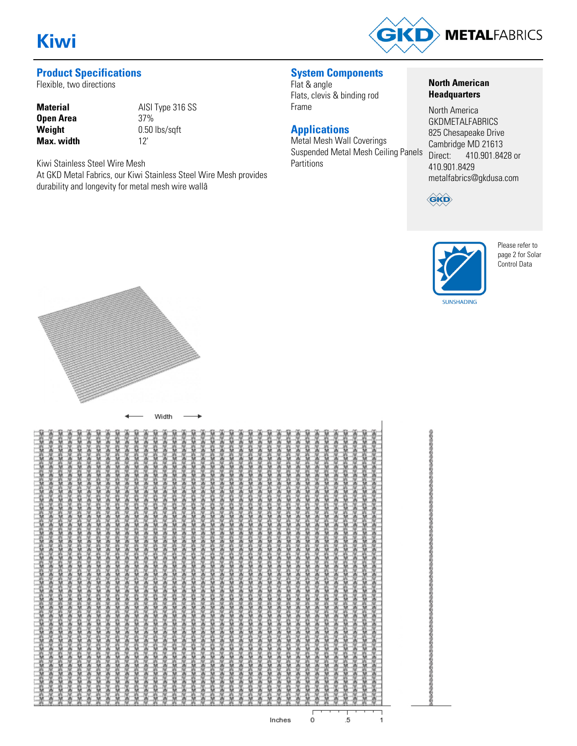

# **Product Specifications**

Flexible, two directions

| <b>Material</b>   | AIS             |
|-------------------|-----------------|
| Open Area         | 37 <sup>0</sup> |
| Weight            | 0.5             |
| <b>Max.</b> width | 12'             |

**Material** AISI Type 316 SS **Open Area** 37% **Weight** 0.50 lbs/sqft

Kiwi Stainless Steel Wire Mesh At GKD Metal Fabrics, our Kiwi Stainless Steel Wire Mesh provides durability and longevity for metal mesh wire wallâ

**System Components**

Flat & angle Flats, clevis & binding rod Frame

# **Applications**

Metal Mesh Wall Coverings Suspended Metal Mesh Ceiling Panels Partitions

#### **North American Headquarters**

North America **GKDMETALFABRICS** 825 Chesapeake Drive Cambridge MD 21613<br>Direct: 410.901.84 410.901.8428 or 410.901.8429 metalfabrics@gkdusa.com



のわのわのわやわのわのわのわのわか。

の存むの行の行なりの行わの行わなりです。



Please refer to page 2 for Solar Control Data



 $\dot{o}$ 

 $\frac{1}{1}$